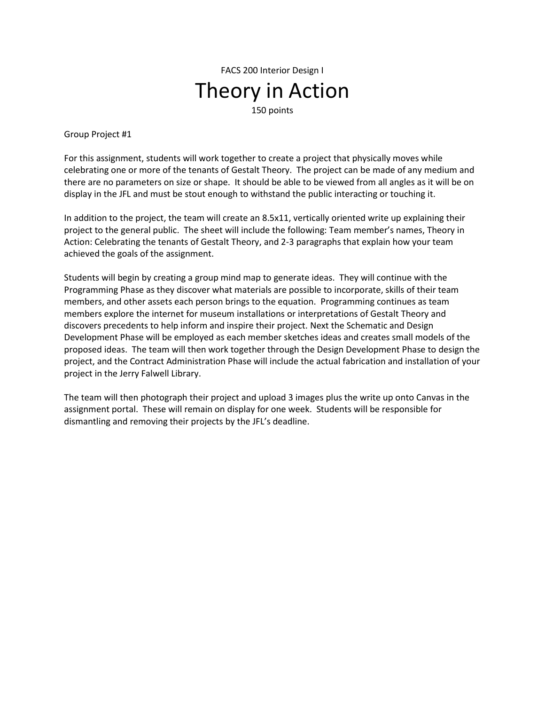FACS 200 Interior Design I Theory in Action 150 points

Group Project #1

For this assignment, students will work together to create a project that physically moves while celebrating one or more of the tenants of Gestalt Theory. The project can be made of any medium and there are no parameters on size or shape. It should be able to be viewed from all angles as it will be on display in the JFL and must be stout enough to withstand the public interacting or touching it.

In addition to the project, the team will create an 8.5x11, vertically oriented write up explaining their project to the general public. The sheet will include the following: Team member's names, Theory in Action: Celebrating the tenants of Gestalt Theory, and 2-3 paragraphs that explain how your team achieved the goals of the assignment.

Students will begin by creating a group mind map to generate ideas. They will continue with the Programming Phase as they discover what materials are possible to incorporate, skills of their team members, and other assets each person brings to the equation. Programming continues as team members explore the internet for museum installations or interpretations of Gestalt Theory and discovers precedents to help inform and inspire their project. Next the Schematic and Design Development Phase will be employed as each member sketches ideas and creates small models of the proposed ideas. The team will then work together through the Design Development Phase to design the project, and the Contract Administration Phase will include the actual fabrication and installation of your project in the Jerry Falwell Library.

The team will then photograph their project and upload 3 images plus the write up onto Canvas in the assignment portal. These will remain on display for one week. Students will be responsible for dismantling and removing their projects by the JFL's deadline.